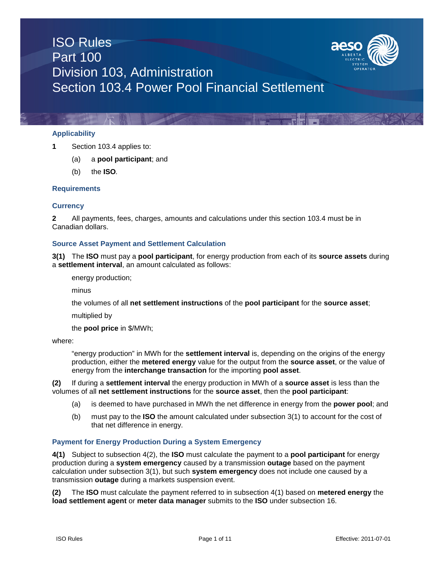

## **Applicability**

- **1** Section 103.4 applies to:
	- (a) a **pool participant**; and
	- (b) the **ISO***.*

## **Requirements**

## **Currency**

**2** All payments, fees, charges, amounts and calculations under this section 103.4 must be in Canadian dollars.

## **Source Asset Payment and Settlement Calculation**

**3(1)** The **ISO** must pay a **pool participant**, for energy production from each of its **source assets** during a **settlement interval**, an amount calculated as follows:

energy production;

minus

the volumes of all **net settlement instructions** of the **pool participant** for the **source asset**;

multiplied by

the **pool price** in \$/MWh;

where:

"energy production" in MWh for the **settlement interval** is, depending on the origins of the energy production, either the **metered energy** value for the output from the **source asset**, or the value of energy from the **interchange transaction** for the importing **pool asset**.

**(2)** If during a **settlement interval** the energy production in MWh of a **source asset** is less than the volumes of all **net settlement instructions** for the **source asset**, then the **pool participant**:

- (a) is deemed to have purchased in MWh the net difference in energy from the **power pool**; and
- (b) must pay to the **ISO** the amount calculated under subsection 3(1) to account for the cost of that net difference in energy.

## **Payment for Energy Production During a System Emergency**

**4(1)** Subject to subsection 4(2), the **ISO** must calculate the payment to a **pool participant** for energy production during a **system emergency** caused by a transmission **outage** based on the payment calculation under subsection 3(1), but such **system emergency** does not include one caused by a transmission **outage** during a markets suspension event.

**(2)** The **ISO** must calculate the payment referred to in subsection 4(1) based on **metered energy** the **load settlement agent** or **meter data manager** submits to the **ISO** under subsection 16.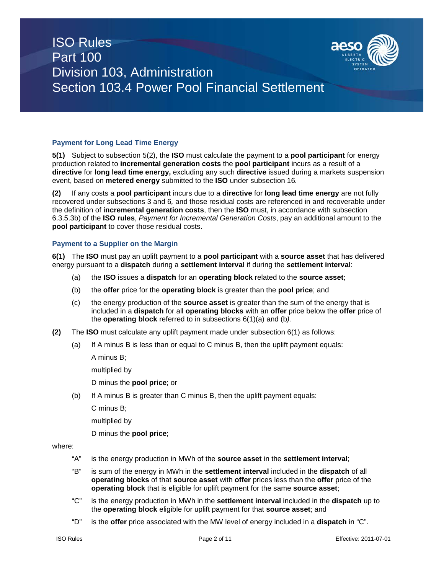

## **Payment for Long Lead Time Energy**

**5(1)** Subject to subsection 5(2), the **ISO** must calculate the payment to a **pool participant** for energy production related to **incremental generation costs** the **pool participant** incurs as a result of a **directive** for **long lead time energy,** excluding any such **directive** issued during a markets suspension event, based on **metered energy** submitted to the **ISO** under subsection 16*.*

**(2)** If any costs a **pool participant** incurs due to a **directive** for **long lead time energy** are not fully recovered under subsections 3 and 6*,* and those residual costs are referenced in and recoverable under the definition of **incremental generation costs**, then the **ISO** must, in accordance with subsection 6.3.5.3b) of the **ISO rules**, *Payment for Incremental Generation Costs*, pay an additional amount to the **pool participant** to cover those residual costs.

#### **Payment to a Supplier on the Margin**

**6(1)** The **ISO** must pay an uplift payment to a **pool participant** with a **source asset** that has delivered energy pursuant to a **dispatch** during a **settlement interval** if during the **settlement interval**:

- (a) the **ISO** issues a **dispatch** for an **operating block** related to the **source asset**;
- (b) the **offer** price for the **operating block** is greater than the **pool price**; and
- (c) the energy production of the **source asset** is greater than the sum of the energy that is included in a **dispatch** for all **operating blocks** with an **offer** price below the **offer** price of the **operating block** referred to in subsections 6(1)(a) and (b*).*
- **(2)** The **ISO** must calculate any uplift payment made under subsection 6(1) as follows:
	- (a) If A minus B is less than or equal to C minus B, then the uplift payment equals:

A minus B;

multiplied by

D minus the **pool price**; or

(b) If A minus B is greater than C minus B, then the uplift payment equals:

C minus B;

multiplied by

D minus the **pool price**;

## where:

- "A" is the energy production in MWh of the **source asset** in the **settlement interval**;
- "B" is sum of the energy in MWh in the **settlement interval** included in the **dispatch** of all **operating blocks** of that **source asset** with **offer** prices less than the **offer** price of the **operating block** that is eligible for uplift payment for the same **source asset**;
- "C" is the energy production in MWh in the **settlement interval** included in the **dispatch** up to the **operating block** eligible for uplift payment for that **source asset**; and
- "D" is the **offer** price associated with the MW level of energy included in a **dispatch** in "C".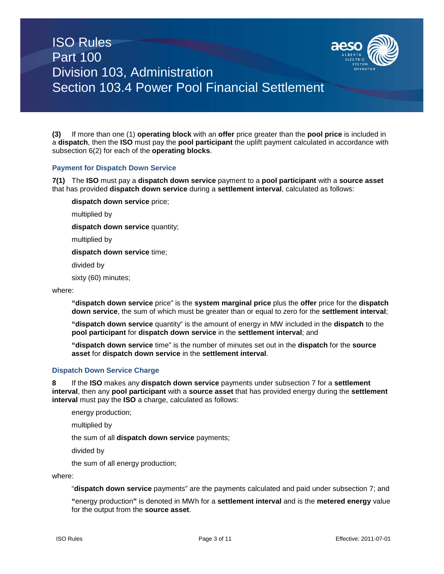

**(3)** If more than one (1) **operating block** with an **offer** price greater than the **pool price** is included in a **dispatch**, then the **ISO** must pay the **pool participant** the uplift payment calculated in accordance with subsection 6(2) for each of the **operating blocks**.

#### **Payment for Dispatch Down Service**

**7(1)** The **ISO** must pay a **dispatch down service** payment to a **pool participant** with a **source asset** that has provided **dispatch down service** during a **settlement interval**, calculated as follows:

**dispatch down service** price;

multiplied by

**dispatch down service** quantity;

multiplied by

**dispatch down service** time;

divided by

sixty (60) minutes;

#### where:

**"dispatch down service** price" is the **system marginal price** plus the **offer** price for the **dispatch down service**, the sum of which must be greater than or equal to zero for the **settlement interval**;

**"dispatch down service** quantity" is the amount of energy in MW included in the **dispatch** to the **pool participant** for **dispatch down service** in the **settlement interval**; and

**"dispatch down service** time" is the number of minutes set out in the **dispatch** for the **source asset** for **dispatch down service** in the **settlement interval**.

#### **Dispatch Down Service Charge**

**8** If the **ISO** makes any **dispatch down service** payments under subsection 7 for a **settlement interval**, then any **pool participant** with a **source asset** that has provided energy during the **settlement interval** must pay the **ISO** a charge, calculated as follows:

energy production;

multiplied by

the sum of all **dispatch down service** payments;

divided by

the sum of all energy production;

where:

"**dispatch down service** payments" are the payments calculated and paid under subsection 7; and

**"**energy production**"** is denoted in MWh for a **settlement interval** and is the **metered energy** value for the output from the **source asset**.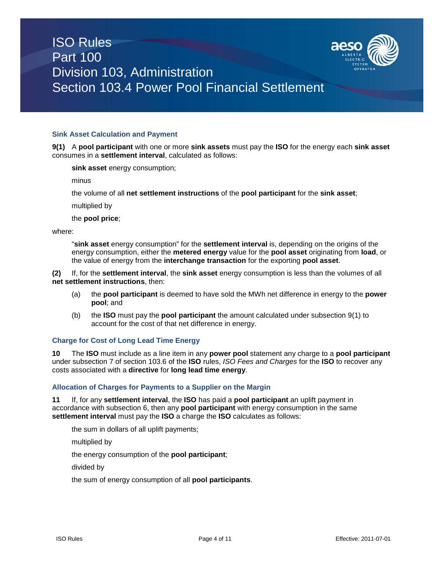



#### **Sink Asset Calculation and Payment**

**9(1)** A **pool participant** with one or more **sink assets** must pay the **ISO** for the energy each **sink asset** consumes in a **settlement interval**, calculated as follows:

**sink asset** energy consumption;

minus

the volume of all **net settlement instructions** of the **pool participant** for the **sink asset**;

multiplied by

the **pool price**;

where:

"**sink asset** energy consumption" for the **settlement interval** is, depending on the origins of the energy consumption, either the **metered energy** value for the **pool asset** originating from **load**, or the value of energy from the **interchange transaction** for the exporting **pool asset**.

**(2)** If, for the **settlement interval**, the **sink asset** energy consumption is less than the volumes of all **net settlement instructions**, then:

- (a) the **pool participant** is deemed to have sold the MWh net difference in energy to the **power pool**; and
- (b) the **ISO** must pay the **pool participant** the amount calculated under subsection 9(1) to account for the cost of that net difference in energy.

#### **Charge for Cost of Long Lead Time Energy**

**10** The **ISO** must include as a line item in any **power pool** statement any charge to a **pool participant**  under subsection 7 of section 103.6 of the **ISO** rules, *ISO Fees and Charges* for the **ISO** to recover any costs associated with a **directive** for **long lead time energy**.

#### **Allocation of Charges for Payments to a Supplier on the Margin**

**11** If, for any **settlement interval**, the **ISO** has paid a **pool participant** an uplift payment in accordance with subsection 6, then any **pool participant** with energy consumption in the same **settlement interval** must pay the **ISO** a charge the **ISO** calculates as follows:

the sum in dollars of all uplift payments;

multiplied by

the energy consumption of the **pool participant**;

divided by

the sum of energy consumption of all **pool participants**.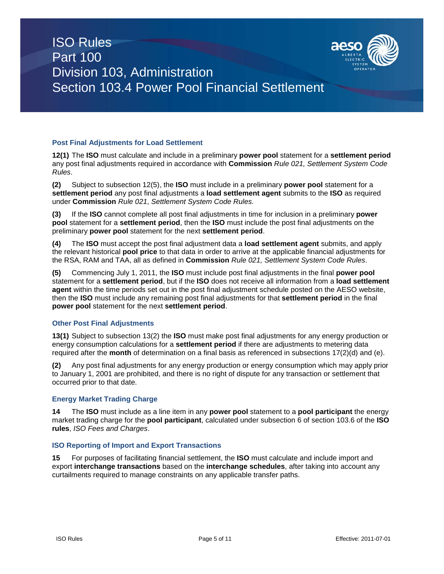

## **Post Final Adjustments for Load Settlement**

**12(1)** The **ISO** must calculate and include in a preliminary **power pool** statement for a **settlement period** any post final adjustments required in accordance with **Commission** *Rule 021, Settlement System Code Rules*.

**(2)** Subject to subsection 12(5), the **ISO** must include in a preliminary **power pool** statement for a **settlement period** any post final adjustments a **load settlement agent** submits to the **ISO** as required under **Commission** *Rule 021*, *Settlement System Code Rules.*

**(3)** If the **ISO** cannot complete all post final adjustments in time for inclusion in a preliminary **power pool** statement for a **settlement period**, then the **ISO** must include the post final adjustments on the preliminary **power pool** statement for the next **settlement period**.

**(4)** The **ISO** must accept the post final adjustment data a **load settlement agent** submits, and apply the relevant historical **pool price** to that data in order to arrive at the applicable financial adjustments for the RSA, RAM and TAA, all as defined in **Commission** *Rule 021, Settlement System Code Rules*.

**(5)** Commencing July 1, 2011, the **ISO** must include post final adjustments in the final **power pool**  statement for a **settlement period**, but if the **ISO** does not receive all information from a **load settlement agent** within the time periods set out in the post final adjustment schedule posted on the AESO website, then the **ISO** must include any remaining post final adjustments for that **settlement period** in the final **power pool** statement for the next **settlement period**.

## **Other Post Final Adjustments**

**13(1)** Subject to subsection 13(2) the **ISO** must make post final adjustments for any energy production or energy consumption calculations for a **settlement period** if there are adjustments to metering data required after the **month** of determination on a final basis as referenced in subsections 17(2)(d) and (e).

**(2)** Any post final adjustments for any energy production or energy consumption which may apply prior to January 1, 2001 are prohibited, and there is no right of dispute for any transaction or settlement that occurred prior to that date.

## **Energy Market Trading Charge**

**14** The **ISO** must include as a line item in any **power pool** statement to a **pool participant** the energy market trading charge for the **pool participant**, calculated under subsection 6 of section 103.6 of the **ISO rules**, *ISO Fees and Charges*.

## **ISO Reporting of Import and Export Transactions**

**15** For purposes of facilitating financial settlement, the **ISO** must calculate and include import and export **interchange transactions** based on the **interchange schedules**, after taking into account any curtailments required to manage constraints on any applicable transfer paths.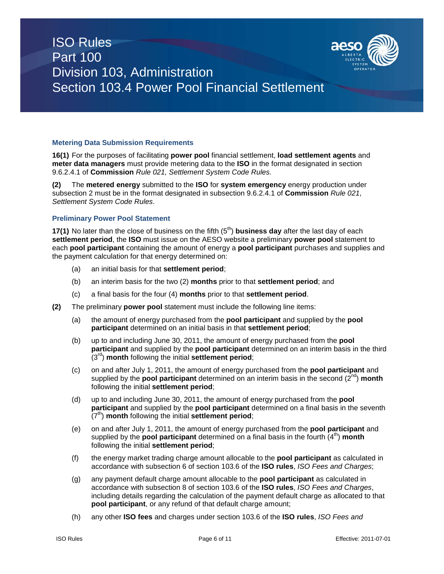

## **Metering Data Submission Requirements**

**16(1)** For the purposes of facilitating **power pool** financial settlement, **load settlement agents** and **meter data managers** must provide metering data to the **ISO** in the format designated in section 9.6.2.4.1 of **Commission** *Rule 021, Settlement System Code Rules.*

**(2)** The **metered energy** submitted to the **ISO** for **system emergency** energy production under subsection 2 must be in the format designated in subsection 9.6.2.4.1 of **Commission** *Rule 021*, *Settlement System Code Rules*.

#### **Preliminary Power Pool Statement**

**17(1)** No later than the close of business on the fifth (5<sup>th</sup>) **business day** after the last day of each **settlement period**, the **ISO** must issue on the AESO website a preliminary **power pool** statement to each **pool participant** containing the amount of energy a **pool participant** purchases and supplies and the payment calculation for that energy determined on:

- (a) an initial basis for that **settlement period**;
- (b) an interim basis for the two (2) **months** prior to that **settlement period**; and
- (c) a final basis for the four (4) **months** prior to that **settlement period**.
- **(2)** The preliminary **power pool** statement must include the following line items:
	- (a) the amount of energy purchased from the **pool participant** and supplied by the **pool participant** determined on an initial basis in that **settlement period**;
	- (b) up to and including June 30, 2011, the amount of energy purchased from the **pool participant** and supplied by the **pool participant** determined on an interim basis in the third (3rd) **month** following the initial **settlement period**;
	- (c) on and after July 1, 2011, the amount of energy purchased from the **pool participant** and supplied by the **pool participant** determined on an interim basis in the second (2<sup>nd</sup>) month following the initial **settlement period**;
	- (d) up to and including June 30, 2011, the amount of energy purchased from the **pool participant** and supplied by the **pool participant** determined on a final basis in the seventh (7<sup>th</sup>) **month** following the initial **settlement period**;
	- (e) on and after July 1, 2011, the amount of energy purchased from the **pool participant** and supplied by the **pool participant** determined on a final basis in the fourth  $(4^{th})$  month following the initial **settlement period**;
	- (f) the energy market trading charge amount allocable to the **pool participant** as calculated in accordance with subsection 6 of section 103.6 of the **ISO rules**, *ISO Fees and Charges*;
	- (g) any payment default charge amount allocable to the **pool participant** as calculated in accordance with subsection 8 of section 103.6 of the **ISO rules**, *ISO Fees and Charges*, including details regarding the calculation of the payment default charge as allocated to that **pool participant**, or any refund of that default charge amount;
	- (h) any other **ISO fees** and charges under section 103.6 of the **ISO rules**, *ISO Fees and*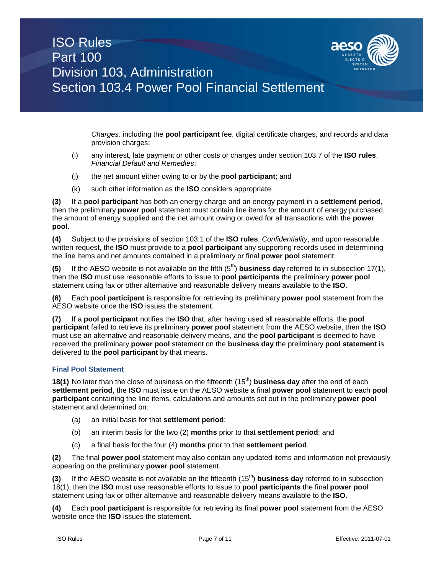

*Charges,* including the **pool participant** fee, digital certificate charges, and records and data provision charges;

- (i) any interest, late payment or other costs or charges under section 103.7 of the **ISO rules**, *Financial Default and Remedies*;
- (j) the net amount either owing to or by the **pool participant**; and
- (k) such other information as the **ISO** considers appropriate.

**(3)** If a **pool participant** has both an energy charge and an energy payment in a **settlement period**, then the preliminary **power pool** statement must contain line items for the amount of energy purchased, the amount of energy supplied and the net amount owing or owed for all transactions with the **power pool**.

**(4)** Subject to the provisions of section 103.1 of the **ISO rules**, *Confidentiality*, and upon reasonable written request, the **ISO** must provide to a **pool participant** any supporting records used in determining the line items and net amounts contained in a preliminary or final **power pool** statement.

**(5)** If the AESO website is not available on the fifth  $(5<sup>th</sup>)$  **business day** referred to in subsection 17(1), then the **ISO** must use reasonable efforts to issue to **pool participants** the preliminary **power pool**  statement using fax or other alternative and reasonable delivery means available to the **ISO**.

**(6)** Each **pool participant** is responsible for retrieving its preliminary **power pool** statement from the AESO website once the **ISO** issues the statement.

**(7)** If a **pool participant** notifies the **ISO** that, after having used all reasonable efforts, the **pool participant** failed to retrieve its preliminary **power pool** statement from the AESO website, then the **ISO** must use an alternative and reasonable delivery means, and the **pool participant** is deemed to have received the preliminary **power pool** statement on the **business day** the preliminary **pool statement** is delivered to the **pool participant** by that means.

## **Final Pool Statement**

**18(1)** No later than the close of business on the fifteenth (15<sup>th</sup>) **business day** after the end of each **settlement period**, the **ISO** must issue on the AESO website a final **power pool** statement to each **pool participant** containing the line items, calculations and amounts set out in the preliminary **power pool** statement and determined on:

- (a) an initial basis for that **settlement period**;
- (b) an interim basis for the two (2) **months** prior to that **settlement period**; and
- (c) a final basis for the four (4) **months** prior to that **settlement period**.

**(2)** The final **power pool** statement may also contain any updated items and information not previously appearing on the preliminary **power pool** statement.

**(3)** If the AESO website is not available on the fifteenth (15th) **business day** referred to in subsection 18(1), then the **ISO** must use reasonable efforts to issue to **pool participants** the final **power pool**  statement using fax or other alternative and reasonable delivery means available to the **ISO**.

**(4)** Each **pool participant** is responsible for retrieving its final **power pool** statement from the AESO website once the **ISO** issues the statement.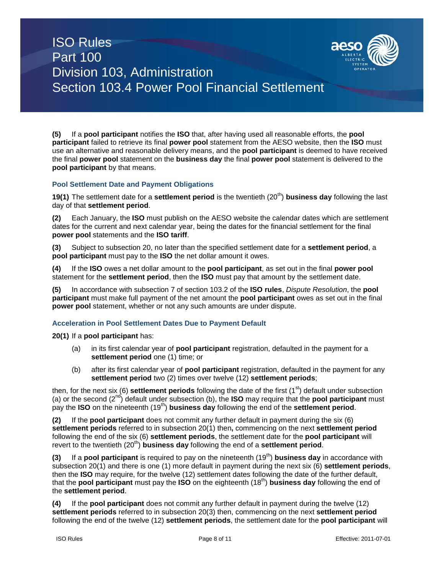

**(5)** If a **pool participant** notifies the **ISO** that, after having used all reasonable efforts, the **pool participant** failed to retrieve its final **power pool** statement from the AESO website, then the **ISO** must use an alternative and reasonable delivery means, and the **pool participant** is deemed to have received the final **power pool** statement on the **business day** the final **power pool** statement is delivered to the **pool participant** by that means.

## **Pool Settlement Date and Payment Obligations**

**19(1)** The settlement date for a **settlement period** is the twentieth (20<sup>th</sup>) **business day** following the last day of that **settlement period**.

**(2)** Each January, the **ISO** must publish on the AESO website the calendar dates which are settlement dates for the current and next calendar year, being the dates for the financial settlement for the final **power pool** statements and the **ISO tariff**.

**(3)** Subject to subsection 20, no later than the specified settlement date for a **settlement period**, a **pool participant** must pay to the **ISO** the net dollar amount it owes.

**(4)** If the **ISO** owes a net dollar amount to the **pool participant**, as set out in the final **power pool**  statement for the **settlement period**, then the **ISO** must pay that amount by the settlement date.

**(5)** In accordance with subsection 7 of section 103.2 of the **ISO rules**, *Dispute Resolution*, the **pool participant** must make full payment of the net amount the **pool participant** owes as set out in the final **power pool** statement, whether or not any such amounts are under dispute.

## **Acceleration in Pool Settlement Dates Due to Payment Default**

**20(1)** If a **pool participant** has:

- (a) in its first calendar year of **pool participant** registration, defaulted in the payment for a **settlement period** one (1) time; or
- (b) after its first calendar year of **pool participant** registration, defaulted in the payment for any **settlement period** two (2) times over twelve (12) **settlement periods**;

then, for the next six (6) **settlement periods** following the date of the first (1<sup>st</sup>) default under subsection (a) or the second (2nd) default under subsection (b), the **ISO** may require that the **pool participant** must pay the **ISO** on the nineteenth (19th) **business day** following the end of the **settlement period**.

**(2)** If the **pool participant** does not commit any further default in payment during the six (6) **settlement periods** referred to in subsection 20(1) then**,** commencing on the next **settlement period** following the end of the six (6) **settlement periods**, the settlement date for the **pool participant** will revert to the twentieth (20<sup>th</sup>) **business day** following the end of a **settlement period**.

**(3)** If a **pool participant** is required to pay on the nineteenth (19<sup>th</sup>) **business day** in accordance with subsection 20(1) and there is one (1) more default in payment during the next six (6) **settlement periods**, then the **ISO** may require, for the twelve (12) settlement dates following the date of the further default, that the **pool participant** must pay the **ISO** on the eighteenth (18th) **business day** following the end of the **settlement period**.

**(4)** If the **pool participant** does not commit any further default in payment during the twelve (12) **settlement periods** referred to in subsection 20(3) then, commencing on the next **settlement period** following the end of the twelve (12) **settlement periods**, the settlement date for the **pool participant** will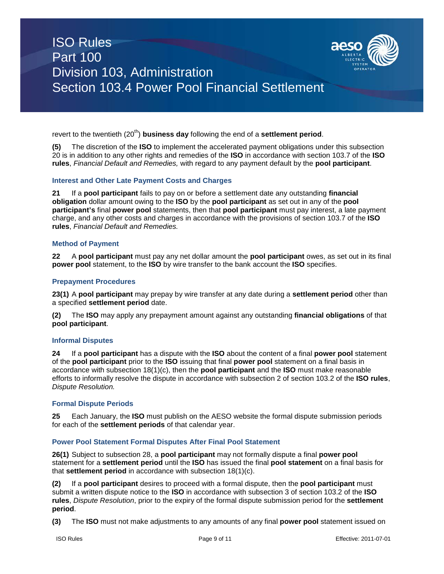

revert to the twentieth (20<sup>th</sup>) **business day** following the end of a **settlement period**.

**(5)** The discretion of the **ISO** to implement the accelerated payment obligations under this subsection 20 is in addition to any other rights and remedies of the **ISO** in accordance with section 103.7 of the **ISO rules**, *Financial Default and Remedies,* with regard to any payment default by the **pool participant**.

#### **Interest and Other Late Payment Costs and Charges**

**21** If a **pool participant** fails to pay on or before a settlement date any outstanding **financial obligation** dollar amount owing to the **ISO** by the **pool participant** as set out in any of the **pool participant's** final **power pool** statements, then that **pool participant** must pay interest, a late payment charge, and any other costs and charges in accordance with the provisions of section 103.7 of the **ISO rules**, *Financial Default and Remedies.*

#### **Method of Payment**

**22** A **pool participant** must pay any net dollar amount the **pool participant** owes, as set out in its final **power pool** statement, to the **ISO** by wire transfer to the bank account the **ISO** specifies.

#### **Prepayment Procedures**

**23(1)** A **pool participant** may prepay by wire transfer at any date during a **settlement period** other than a specified **settlement period** date.

**(2)** The **ISO** may apply any prepayment amount against any outstanding **financial obligations** of that **pool participant**.

#### **Informal Disputes**

**24** If a **pool participant** has a dispute with the **ISO** about the content of a final **power pool** statement of the **pool participant** prior to the **ISO** issuing that final **power pool** statement on a final basis in accordance with subsection 18(1)(c), then the **pool participant** and the **ISO** must make reasonable efforts to informally resolve the dispute in accordance with subsection 2 of section 103.2 of the **ISO rules**, *Dispute Resolution.*

#### **Formal Dispute Periods**

**25** Each January, the **ISO** must publish on the AESO website the formal dispute submission periods for each of the **settlement periods** of that calendar year.

#### **Power Pool Statement Formal Disputes After Final Pool Statement**

**26(1)** Subject to subsection 28, a **pool participant** may not formally dispute a final **power pool** statement for a **settlement period** until the **ISO** has issued the final **pool statement** on a final basis for that **settlement period** in accordance with subsection 18(1)(c).

**(2)** If a **pool participant** desires to proceed with a formal dispute, then the **pool participant** must submit a written dispute notice to the **ISO** in accordance with subsection 3 of section 103.2 of the **ISO rules**, *Dispute Resolution*, prior to the expiry of the formal dispute submission period for the **settlement period**.

**(3)** The **ISO** must not make adjustments to any amounts of any final **power pool** statement issued on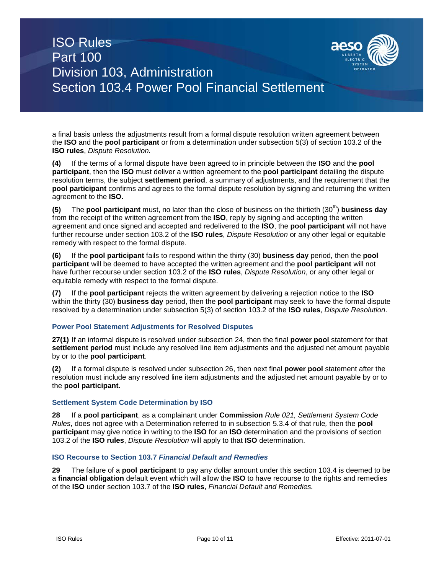

a final basis unless the adjustments result from a formal dispute resolution written agreement between the **ISO** and the **pool participant** or from a determination under subsection 5(3) of section 103.2 of the **ISO rules**, *Dispute Resolution.*

**(4)** If the terms of a formal dispute have been agreed to in principle between the **ISO** and the **pool participant**, then the **ISO** must deliver a written agreement to the **pool participant** detailing the dispute resolution terms, the subject **settlement period**, a summary of adjustments, and the requirement that the **pool participant** confirms and agrees to the formal dispute resolution by signing and returning the written agreement to the **ISO.**

**(5)** The **pool participant** must, no later than the close of business on the thirtieth (30<sup>th</sup>) **business day** from the receipt of the written agreement from the **ISO**, reply by signing and accepting the written agreement and once signed and accepted and redelivered to the **ISO**, the **pool participant** will not have further recourse under section 103.2 of the **ISO rules**, *Dispute Resolution* or any other legal or equitable remedy with respect to the formal dispute.

**(6)** If the **pool participant** fails to respond within the thirty (30) **business day** period, then the **pool participant** will be deemed to have accepted the written agreement and the **pool participant** will not have further recourse under section 103.2 of the **ISO rules**, *Dispute Resolution*, or any other legal or equitable remedy with respect to the formal dispute.

**(7)** If the **pool participant** rejects the written agreement by delivering a rejection notice to the **ISO** within the thirty (30) **business day** period, then the **pool participant** may seek to have the formal dispute resolved by a determination under subsection 5(3) of section 103.2 of the **ISO rules**, *Dispute Resolution*.

## **Power Pool Statement Adjustments for Resolved Disputes**

**27(1)** If an informal dispute is resolved under subsection 24, then the final **power pool** statement for that **settlement period** must include any resolved line item adjustments and the adjusted net amount payable by or to the **pool participant**.

**(2)** If a formal dispute is resolved under subsection 26, then next final **power pool** statement after the resolution must include any resolved line item adjustments and the adjusted net amount payable by or to the **pool participant**.

## **Settlement System Code Determination by ISO**

**28** If a **pool participant**, as a complainant under **Commission** *Rule 021, Settlement System Code Rules*, does not agree with a Determination referred to in subsection 5.3.4 of that rule*,* then the **pool participant** may give notice in writing to the **ISO** for an **ISO** determination and the provisions of section 103.2 of the **ISO rules**, *Dispute Resolution* will apply to that **ISO** determination.

## **ISO Recourse to Section 103.7** *Financial Default and Remedies*

**29** The failure of a **pool participant** to pay any dollar amount under this section 103.4 is deemed to be a **financial obligation** default event which will allow the **ISO** to have recourse to the rights and remedies of the **ISO** under section 103.7 of the **ISO rules**, *Financial Default and Remedies.*